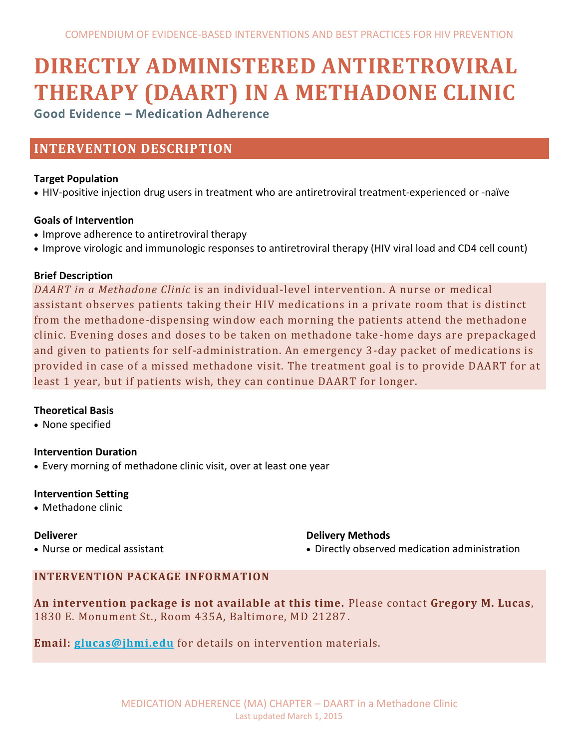# **DIRECTLY ADMINISTERED ANTIRETROVIRAL THERAPY (DAART) IN A METHADONE CLINIC**

**Good Evidence – Medication Adherence**

# **INTERVENTION DESCRIPTION**

# **Target Population**

HIV-positive injection drug users in treatment who are antiretroviral treatment-experienced or -naïve

# **Goals of Intervention**

- Improve adherence to antiretroviral therapy
- Improve virologic and immunologic responses to antiretroviral therapy (HIV viral load and CD4 cell count)

# **Brief Description**

*DAART in a Methadone Clinic* is an individual-level intervention. A nurse or medical assistant observes patients taking their HIV medications in a private room that is distinct from the methadone-dispensing window each morning the patients attend the methadone clinic. Evening doses and doses to be taken on methadone take-home days are prepackaged and given to patients for self-administration. An emergency 3-day packet of medications is provided in case of a missed methadone visit. The treatment goal is to provide DAART for at least 1 year, but if patients wish, they can continue DAART for longer.

# **Theoretical Basis**

• None specified

# **Intervention Duration**

Every morning of methadone clinic visit, over at least one year

# **Intervention Setting**

Methadone clinic

# **Deliverer**

Nurse or medical assistant

# **Delivery Methods**

Directly observed medication administration

# **INTERVENTION PACKAGE INFORMATION**

**An intervention package is not available at this time.** Please contact **Gregory M. Lucas**, 1830 E. Monument St., Room 435A, Baltimore, MD 21287.

**Email: [glucas@jhmi.edu](mailto:glucas@jhmi.edu)** for details on intervention materials.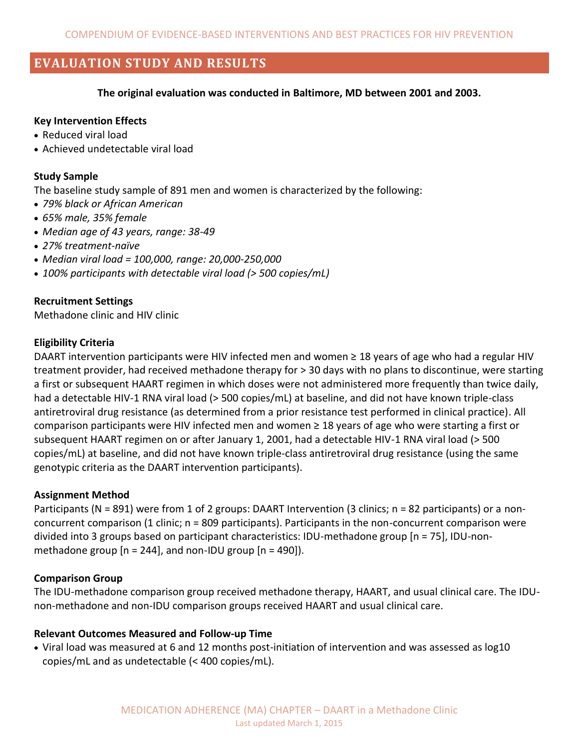# **EVALUATION STUDY AND RESULTS**

**The original evaluation was conducted in Baltimore, MD between 2001 and 2003.**

#### **Key Intervention Effects**

- Reduced viral load
- Achieved undetectable viral load

#### **Study Sample**

The baseline study sample of 891 men and women is characterized by the following:

- *79% black or African American*
- *65% male, 35% female*
- *Median age of 43 years, range: 38-49*
- *27% treatment-naïve*
- *Median viral load = 100,000, range: 20,000-250,000*
- *100% participants with detectable viral load (> 500 copies/mL)*

#### **Recruitment Settings**

Methadone clinic and HIV clinic

#### **Eligibility Criteria**

DAART intervention participants were HIV infected men and women ≥ 18 years of age who had a regular HIV treatment provider, had received methadone therapy for > 30 days with no plans to discontinue, were starting a first or subsequent HAART regimen in which doses were not administered more frequently than twice daily, had a detectable HIV-1 RNA viral load (> 500 copies/mL) at baseline, and did not have known triple-class antiretroviral drug resistance (as determined from a prior resistance test performed in clinical practice). All comparison participants were HIV infected men and women ≥ 18 years of age who were starting a first or subsequent HAART regimen on or after January 1, 2001, had a detectable HIV-1 RNA viral load (> 500 copies/mL) at baseline, and did not have known triple-class antiretroviral drug resistance (using the same genotypic criteria as the DAART intervention participants).

#### **Assignment Method**

Participants (N = 891) were from 1 of 2 groups: DAART Intervention (3 clinics; n = 82 participants) or a nonconcurrent comparison (1 clinic; n = 809 participants). Participants in the non-concurrent comparison were divided into 3 groups based on participant characteristics: IDU-methadone group [n = 75], IDU-nonmethadone group  $[n = 244]$ , and non-IDU group  $[n = 490]$ ).

#### **Comparison Group**

The IDU-methadone comparison group received methadone therapy, HAART, and usual clinical care. The IDUnon-methadone and non-IDU comparison groups received HAART and usual clinical care.

#### **Relevant Outcomes Measured and Follow-up Time**

 Viral load was measured at 6 and 12 months post-initiation of intervention and was assessed as log10 copies/mL and as undetectable (< 400 copies/mL).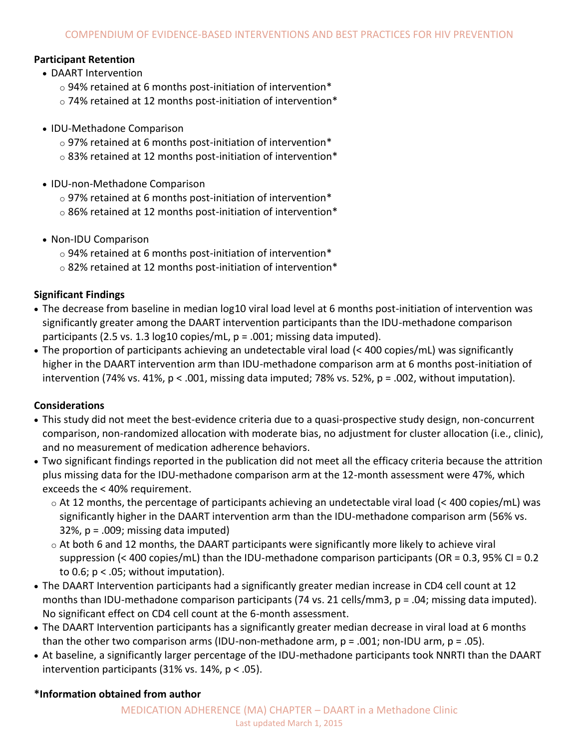# **Participant Retention**

- DAART Intervention
	- $\circ$  94% retained at 6 months post-initiation of intervention\*
	- o 74% retained at 12 months post-initiation of intervention\*
- IDU-Methadone Comparison
	- $\circ$  97% retained at 6 months post-initiation of intervention\*
	- $\circ$  83% retained at 12 months post-initiation of intervention\*
- IDU-non-Methadone Comparison
	- o 97% retained at 6 months post-initiation of intervention\*
	- o 86% retained at 12 months post-initiation of intervention\*
- Non-IDU Comparison
	- $\circ$  94% retained at 6 months post-initiation of intervention\*
	- o 82% retained at 12 months post-initiation of intervention\*

# **Significant Findings**

- The decrease from baseline in median log10 viral load level at 6 months post-initiation of intervention was significantly greater among the DAART intervention participants than the IDU-methadone comparison participants (2.5 vs. 1.3  $log10$  copies/mL,  $p = .001$ ; missing data imputed).
- The proportion of participants achieving an undetectable viral load (< 400 copies/mL) was significantly higher in the DAART intervention arm than IDU-methadone comparison arm at 6 months post-initiation of intervention (74% vs. 41%,  $p < .001$ , missing data imputed; 78% vs. 52%,  $p = .002$ , without imputation).

# **Considerations**

- This study did not meet the best-evidence criteria due to a quasi-prospective study design, non-concurrent comparison, non-randomized allocation with moderate bias, no adjustment for cluster allocation (i.e., clinic), and no measurement of medication adherence behaviors.
- Two significant findings reported in the publication did not meet all the efficacy criteria because the attrition plus missing data for the IDU-methadone comparison arm at the 12-month assessment were 47%, which exceeds the < 40% requirement.
	- o At 12 months, the percentage of participants achieving an undetectable viral load (< 400 copies/mL) was significantly higher in the DAART intervention arm than the IDU-methadone comparison arm (56% vs.  $32\%$ ,  $p = .009$ ; missing data imputed)
	- $\circ$  At both 6 and 12 months, the DAART participants were significantly more likely to achieve viral suppression (< 400 copies/mL) than the IDU-methadone comparison participants (OR = 0.3, 95% CI = 0.2 to 0.6;  $p < 0.05$ ; without imputation).
- The DAART Intervention participants had a significantly greater median increase in CD4 cell count at 12 months than IDU-methadone comparison participants (74 vs. 21 cells/mm3,  $p = .04$ ; missing data imputed). No significant effect on CD4 cell count at the 6-month assessment.
- The DAART Intervention participants has a significantly greater median decrease in viral load at 6 months than the other two comparison arms (IDU-non-methadone arm,  $p = .001$ ; non-IDU arm,  $p = .05$ ).
- At baseline, a significantly larger percentage of the IDU-methadone participants took NNRTI than the DAART intervention participants  $(31\% \text{ vs. } 14\%, \text{ p} < .05)$ .

# **\*Information obtained from author**